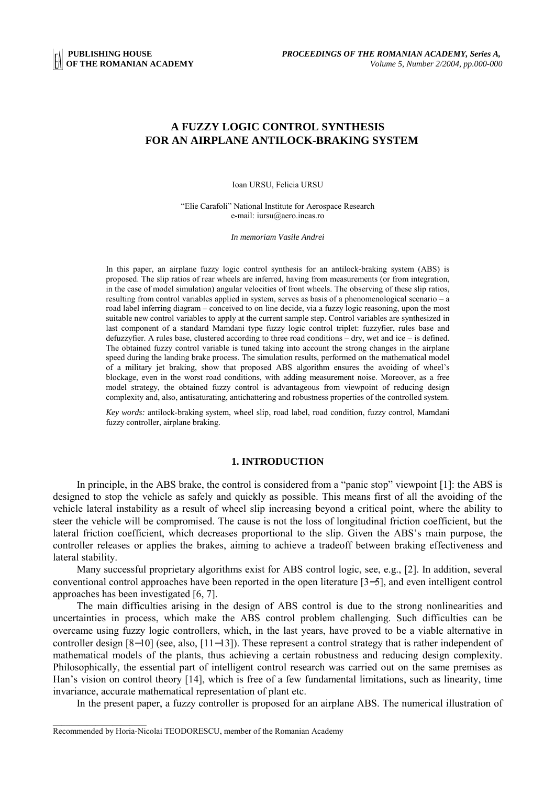# **A FUZZY LOGIC CONTROL SYNTHESIS FOR AN AIRPLANE ANTILOCK-BRAKING SYSTEM**

Ioan URSU, Felicia URSU

"Elie Carafoli" National Institute for Aerospace Research e-mail: iursu@aero.incas.ro

*In memoriam Vasile Andrei*

In this paper, an airplane fuzzy logic control synthesis for an antilock-braking system (ABS) is proposed. The slip ratios of rear wheels are inferred, having from measurements (or from integration, in the case of model simulation) angular velocities of front wheels. The observing of these slip ratios, resulting from control variables applied in system, serves as basis of a phenomenological scenario – a road label inferring diagram – conceived to on line decide, via a fuzzy logic reasoning, upon the most suitable new control variables to apply at the current sample step. Control variables are synthesized in last component of a standard Mamdani type fuzzy logic control triplet: fuzzyfier, rules base and defuzzyfier. A rules base, clustered according to three road conditions – dry, wet and ice – is defined. The obtained fuzzy control variable is tuned taking into account the strong changes in the airplane speed during the landing brake process. The simulation results, performed on the mathematical model of a military jet braking, show that proposed ABS algorithm ensures the avoiding of wheel's blockage, even in the worst road conditions, with adding measurement noise. Moreover, as a free model strategy, the obtained fuzzy control is advantageous from viewpoint of reducing design complexity and, also, antisaturating, antichattering and robustness properties of the controlled system.

*Key words:* antilock-braking system, wheel slip, road label, road condition, fuzzy control, Mamdani fuzzy controller, airplane braking.

## **1. INTRODUCTION**

In principle, in the ABS brake, the control is considered from a "panic stop" viewpoint [1]: the ABS is designed to stop the vehicle as safely and quickly as possible. This means first of all the avoiding of the vehicle lateral instability as a result of wheel slip increasing beyond a critical point, where the ability to steer the vehicle will be compromised. The cause is not the loss of longitudinal friction coefficient, but the lateral friction coefficient, which decreases proportional to the slip. Given the ABS's main purpose, the controller releases or applies the brakes, aiming to achieve a tradeoff between braking effectiveness and lateral stability.

Many successful proprietary algorithms exist for ABS control logic, see, e.g., [2]. In addition, several conventional control approaches have been reported in the open literature [3−5], and even intelligent control approaches has been investigated [6, 7].

The main difficulties arising in the design of ABS control is due to the strong nonlinearities and uncertainties in process, which make the ABS control problem challenging. Such difficulties can be overcame using fuzzy logic controllers, which, in the last years, have proved to be a viable alternative in controller design [8−10] (see, also, [11−13]). These represent a control strategy that is rather independent of mathematical models of the plants, thus achieving a certain robustness and reducing design complexity. Philosophically, the essential part of intelligent control research was carried out on the same premises as Han's vision on control theory [14], which is free of a few fundamental limitations, such as linearity, time invariance, accurate mathematical representation of plant etc.

In the present paper, a fuzzy controller is proposed for an airplane ABS. The numerical illustration of

Recommended by Horia-Nicolai TEODORESCU, member of the Romanian Academy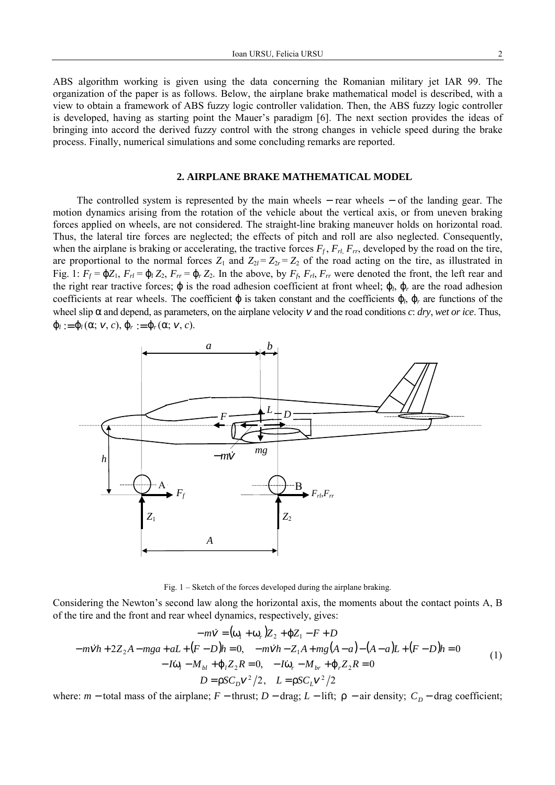ABS algorithm working is given using the data concerning the Romanian military jet IAR 99. The organization of the paper is as follows. Below, the airplane brake mathematical model is described, with a view to obtain a framework of ABS fuzzy logic controller validation. Then, the ABS fuzzy logic controller is developed, having as starting point the Mauer's paradigm [6]. The next section provides the ideas of bringing into accord the derived fuzzy control with the strong changes in vehicle speed during the brake process. Finally, numerical simulations and some concluding remarks are reported.

#### **2. AIRPLANE BRAKE MATHEMATICAL MODEL**

The controlled system is represented by the main wheels – rear wheels – of the landing gear. The motion dynamics arising from the rotation of the vehicle about the vertical axis, or from uneven braking forces applied on wheels, are not considered. The straight-line braking maneuver holds on horizontal road. Thus, the lateral tire forces are neglected; the effects of pitch and roll are also neglected. Consequently, when the airplane is braking or accelerating, the tractive forces  $F_f$ ,  $F_{rl}$ ,  $F_{rr}$ , developed by the road on the tire, are proportional to the normal forces  $Z_1$  and  $Z_{2l} = Z_{2r} = Z_2$  of the road acting on the tire, as illustrated in Fig. 1:  $F_f = \phi Z_1$ ,  $F_{rl} = \phi_l Z_2$ ,  $F_{rr} = \phi_r Z_2$ . In the above, by  $F_f$ ,  $F_{rl}$ ,  $F_{rr}$  were denoted the front, the left rear and the right rear tractive forces;  $\varphi$  is the road adhesion coefficient at front wheel;  $\varphi_l$ ,  $\varphi_r$  are the road adhesion coefficients at rear wheels. The coefficient  $\varphi$  is taken constant and the coefficients  $\varphi_l$ ,  $\varphi_r$  are functions of the wheel slip  $\alpha$  and depend, as parameters, on the airplane velocity  $v$  and the road conditions *c*: *dry*, *wet or ice*. Thus,  $\Phi_l := \Phi_l(\alpha; v, c), \Phi_r := \Phi_r(\alpha; v, c).$ 



Fig. 1 – Sketch of the forces developed during the airplane braking.

Considering the Newton's second law along the horizontal axis, the moments about the contact points A, B of the tire and the front and rear wheel dynamics, respectively, gives:

$$
-m\dot{v} = (\omega_l + \omega_r)Z_2 + \varphi Z_1 - F + D
$$
  
\n
$$
-m\dot{v}h + 2Z_2A - mga + aL + (F - D)h = 0, \quad -m\dot{v}h - Z_1A + mg(A - a) - (A - a)L + (F - D)h = 0
$$
  
\n
$$
-I\dot{\omega}_l - M_{bl} + \varphi_l Z_2R = 0, \quad -I\dot{\omega}_r - M_{br} + \varphi_r Z_2R = 0
$$
  
\n
$$
D = \rho SC_D v^2 / 2, \quad L = \rho SC_L v^2 / 2
$$
 (1)

where:  $m$  − total mass of the airplane;  $F$  − thrust;  $D$  − drag;  $L$  − lift;  $\rho$  − air density;  $C_p$  − drag coefficient;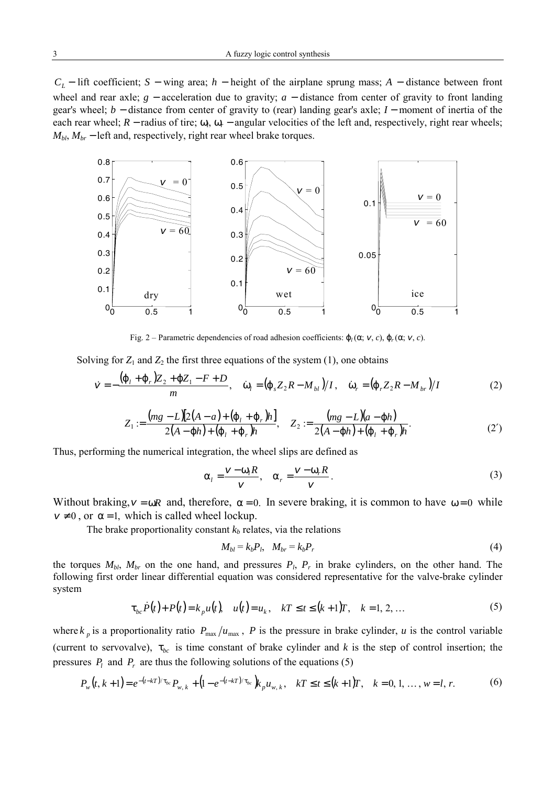*C<sub>L</sub>* − lift coefficient; *S* − wing area; *h* − height of the airplane sprung mass; *A* − distance between front wheel and rear axle; *g* − acceleration due to gravity; *a* − distance from center of gravity to front landing gear's wheel; *b* − distance from center of gravity to (rear) landing gear's axle; *I* − moment of inertia of the each rear wheel;  $R$  − radius of tire;  $\omega_i$ ,  $\omega_r$  − angular velocities of the left and, respectively, right rear wheels;  $M_{bl}$ ,  $M_{br}$  – left and, respectively, right rear wheel brake torques.



Fig. 2 – Parametric dependencies of road adhesion coefficients:  $φ_l(α; ν, c)$ ,  $φ_r(α; ν, c)$ .

Solving for  $Z_1$  and  $Z_2$  the first three equations of the system (1), one obtains

$$
\dot{\mathbf{v}} = -\frac{(\varphi_l + \varphi_r)Z_2 + \varphi Z_1 - F + D}{m}, \quad \dot{\omega}_l = (\varphi_s Z_2 R - M_{bl})/I, \quad \dot{\omega}_r = (\varphi_r Z_2 R - M_{br})/I
$$
 (2)

$$
Z_1 := \frac{(mg - L)[2(A - a) + (\varphi_l + \varphi_r)h]}{2(A - \varphi h) + (\varphi_l + \varphi_r)h}, \quad Z_2 := \frac{(mg - L)(a - \varphi h)}{2(A - \varphi h) + (\varphi_l + \varphi_r)h}.
$$
 (2')

Thus, performing the numerical integration, the wheel slips are defined as

$$
\alpha_{l} = \frac{v - \omega_{l}R}{v}, \quad \alpha_{r} = \frac{v - \omega_{r}R}{v}.
$$
\n(3)

Without braking,  $v = \omega R$  and, therefore,  $\alpha = 0$ . In severe braking, it is common to have  $\omega = 0$  while  $v \neq 0$ , or  $\alpha = 1$ , which is called wheel lockup.

The brake proportionality constant  $k_b$  relates, via the relations

$$
M_{bl} = k_b P_l, \quad M_{br} = k_b P_r \tag{4}
$$

the torques  $M_{bl}$ ,  $M_{br}$  on the one hand, and pressures  $P_l$ ,  $P_r$  in brake cylinders, on the other hand. The following first order linear differential equation was considered representative for the valve-brake cylinder system

$$
\tau_{bc} \dot{P}(t) + P(t) = k_p u(t), \quad u(t) = u_k, \quad kT \le t \le (k+1)T, \quad k = 1, 2, ... \tag{5}
$$

where  $k_p$  is a proportionality ratio  $P_{\text{max}}/u_{\text{max}}$ , *P* is the pressure in brake cylinder, *u* is the control variable (current to servovalve),  $\tau_{bc}$  is time constant of brake cylinder and *k* is the step of control insertion; the pressures  $P_l$  and  $P_r$  are thus the following solutions of the equations (5)

$$
P_{w}(t, k+1) = e^{-(t-kT)/\tau_{bc}} P_{w,k} + (1 - e^{-(t-kT)/\tau_{bc}}) k_{p} u_{w,k}, \quad kT \le t \le (k+1)T, \quad k = 0, 1, ..., w = l, r. \tag{6}
$$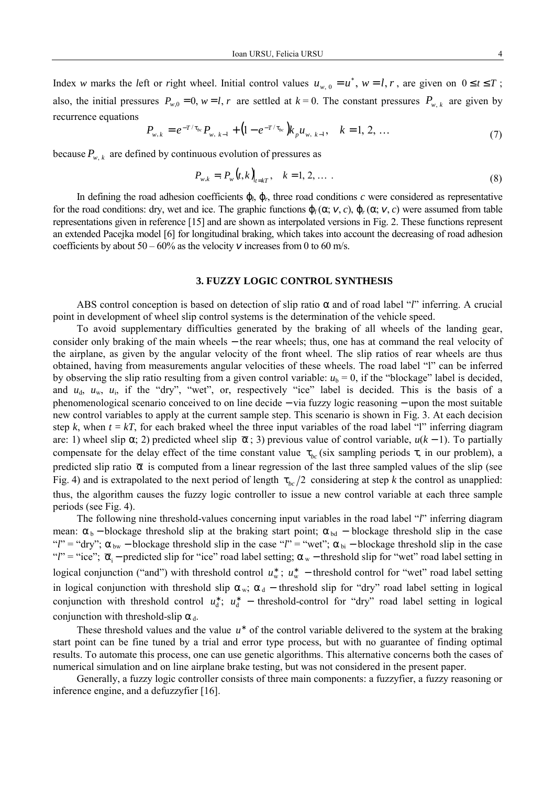Index *w* marks the *left* or *right* wheel. Initial control values  $u_{w,0} = u^*$ ,  $w = l, r$ , are given on  $0 \le t \le T$ ; also, the initial pressures  $P_{w,0} = 0$ ,  $w = l$ , r are settled at  $k = 0$ . The constant pressures  $P_{w,k}$  are given by recurrence equations

$$
P_{w,k} = e^{-T/\tau_{bc}} P_{w,k-1} + (1 - e^{-T/\tau_{bc}}) k_p u_{w,k-1}, \quad k = 1, 2, ... \tag{7}
$$

because  $P_{w, k}$  are defined by continuous evolution of pressures as

$$
P_{w,k} = P_w(t,k)_{t=kT}, \quad k = 1, 2, \dots
$$
\n(8)

In defining the road adhesion coefficients ϕ*l*, ϕ*r*, three road conditions *c* were considered as representative for the road conditions: dry, wet and ice. The graphic functions  $\phi_l(\alpha; v, c)$ ,  $\phi_r(\alpha; v, c)$  were assumed from table representations given in reference [15] and are shown as interpolated versions in Fig. 2. These functions represent an extended Pacejka model [6] for longitudinal braking, which takes into account the decreasing of road adhesion coefficients by about  $50 - 60\%$  as the velocity v increases from 0 to 60 m/s.

#### **3. FUZZY LOGIC CONTROL SYNTHESIS**

ABS control conception is based on detection of slip ratio α and of road label "*l*" inferring. A crucial point in development of wheel slip control systems is the determination of the vehicle speed.

To avoid supplementary difficulties generated by the braking of all wheels of the landing gear, consider only braking of the main wheels − the rear wheels; thus, one has at command the real velocity of the airplane, as given by the angular velocity of the front wheel. The slip ratios of rear wheels are thus obtained, having from measurements angular velocities of these wheels. The road label "l" can be inferred by observing the slip ratio resulting from a given control variable:  $u<sub>b</sub> = 0$ , if the "blockage" label is decided, and  $u_{d}$ ,  $u_{w}$ ,  $u_{i}$ , if the "dry", "wet", or, respectively "ice" label is decided. This is the basis of a phenomenological scenario conceived to on line decide − via fuzzy logic reasoning − upon the most suitable new control variables to apply at the current sample step. This scenario is shown in Fig. 3. At each decision step  $k$ , when  $t = kT$ , for each braked wheel the three input variables of the road label "l" inferring diagram are: 1) wheel slip  $\alpha$ ; 2) predicted wheel slip  $\bar{\alpha}$ ; 3) previous value of control variable,  $u(k-1)$ . To partially compensate for the delay effect of the time constant value  $\tau_{bc}$  (six sampling periods  $\tau$ , in our problem), a predicted slip ratio  $\bar{\alpha}$  is computed from a linear regression of the last three sampled values of the slip (see Fig. 4) and is extrapolated to the next period of length  $\tau_{bc}/2$  considering at step *k* the control as unapplied: thus, the algorithm causes the fuzzy logic controller to issue a new control variable at each three sample periods (see Fig. 4).

The following nine threshold-values concerning input variables in the road label "*l*" inferring diagram mean:  $\alpha_b$  − blockage threshold slip at the braking start point;  $\alpha_{bd}$  − blockage threshold slip in the case "*l*" = "dry"; α bw − blockage threshold slip in the case "*l*" = "wet"; α bi − blockage threshold slip in the case "*l*" = "ice";  $\bar{\alpha}_i$  – predicted slip for "ice" road label setting;  $\alpha_w$  – threshold slip for "wet" road label setting in logical conjunction ("and") with threshold control  $u_w^*$ ;  $u_w^*$  − threshold control for "wet" road label setting in logical conjunction with threshold slip  $\alpha_w$ ;  $\alpha_d$  – threshold slip for "dry" road label setting in logical conjunction with threshold control  $u_d^*$ ;  $u_d^*$  – threshold-control for "dry" road label setting in logical conjunction with threshold-slip  $\alpha_d$ .

These threshold values and the value u<sup>\*</sup> of the control variable delivered to the system at the braking start point can be fine tuned by a trial and error type process, but with no guarantee of finding optimal results. To automate this process, one can use genetic algorithms. This alternative concerns both the cases of numerical simulation and on line airplane brake testing, but was not considered in the present paper.

Generally, a fuzzy logic controller consists of three main components: a fuzzyfier, a fuzzy reasoning or inference engine, and a defuzzyfier [16].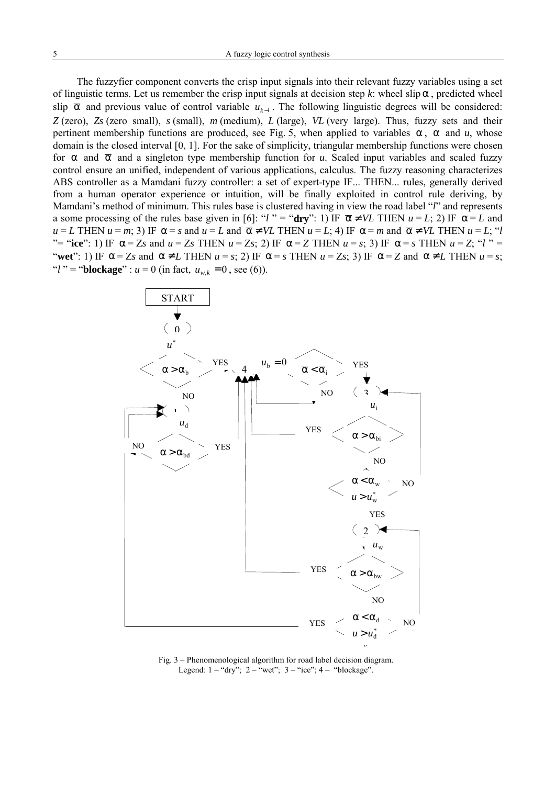The fuzzyfier component converts the crisp input signals into their relevant fuzzy variables using a set of linguistic terms. Let us remember the crisp input signals at decision step  $k$ : wheel slip  $\alpha$ , predicted wheel slip α and previous value of control variable *uk*−<sup>1</sup> . The following linguistic degrees will be considered: *Z* (zero), *Zs* (zero small), *s* (small), *m* (medium), *L* (large), *VL* (very large). Thus, fuzzy sets and their pertinent membership functions are produced, see Fig. 5, when applied to variables  $\alpha$ ,  $\overline{\alpha}$  and *u*, whose domain is the closed interval [0, 1]. For the sake of simplicity, triangular membership functions were chosen for  $\alpha$  and  $\overline{\alpha}$  and a singleton type membership function for *u*. Scaled input variables and scaled fuzzy control ensure an unified, independent of various applications, calculus. The fuzzy reasoning characterizes ABS controller as a Mamdani fuzzy controller: a set of expert-type IF... THEN... rules, generally derived from a human operator experience or intuition, will be finally exploited in control rule deriving, by Mamdani's method of minimum. This rules base is clustered having in view the road label "*l*" and represents a some processing of the rules base given in [6]: "*l*" = "dry": 1) IF  $\bar{\alpha} \neq VL$  THEN  $u = L$ ; 2) IF  $\alpha = L$  and  $u = L$  THEN  $u = m$ ; 3) IF  $\alpha = s$  and  $u = L$  and  $\overline{\alpha} \neq V L$  THEN  $u = L$ ; 4) IF  $\alpha = m$  and  $\overline{\alpha} \neq V L$  THEN  $u = L$ ; "*l* "= "ice": 1) IF  $\alpha = Z_s$  and  $u = Z_s$  THEN  $u = Z_s$ ; 2) IF  $\alpha = Z$  THEN  $u = s$ ; 3) IF  $\alpha = s$  THEN  $u = Z$ ; "*l*" "wet": 1) IF  $\alpha = Z_s$  and  $\overline{\alpha} \neq L$  THEN  $u = s$ ; 2) IF  $\alpha = s$  THEN  $u = Z_s$ ; 3) IF  $\alpha = Z$  and  $\overline{\alpha} \neq L$  THEN  $u = s$ ; "*l*" = "**blockage**" :  $u = 0$  (in fact,  $u_{w_k} = 0$ , see (6)).



Fig. 3 – Phenomenological algorithm for road label decision diagram. Legend:  $1 - \sqrt[4]{\text{dv}}}$ ;  $2 - \sqrt[4]{\text{wet}}$ ;  $3 - \sqrt[4]{\text{ice}}}$ ;  $4 - \sqrt[4]{\text{blockage}}$ .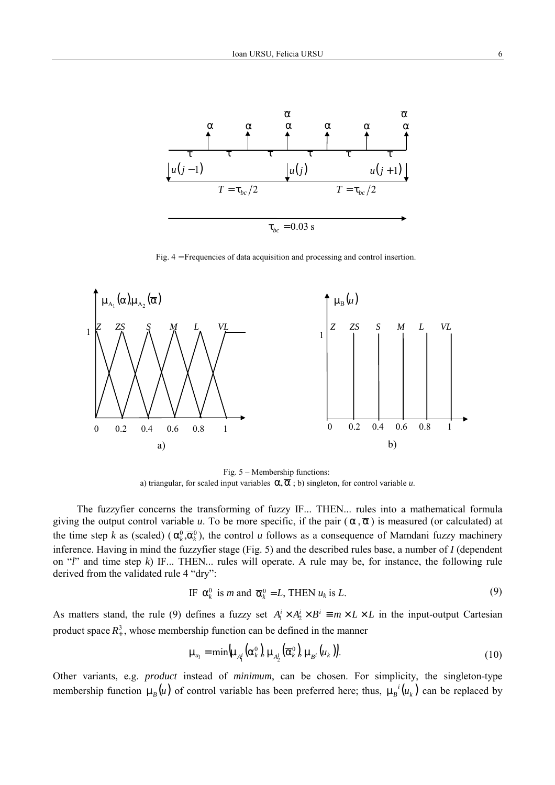

Fig. 4 − Frequencies of data acquisition and processing and control insertion.



Fig. 5 – Membership functions: a) triangular, for scaled input variables  $\alpha, \overline{\alpha}$ ; b) singleton, for control variable *u*.

The fuzzyfier concerns the transforming of fuzzy IF... THEN... rules into a mathematical formula giving the output control variable *u*. To be more specific, if the pair  $(\alpha, \overline{\alpha})$  is measured (or calculated) at the time step *k* as (scaled)  $(\alpha_k^0, \overline{\alpha}_k^0)$ , the control *u* follows as a consequence of Mamdani fuzzy machinery inference. Having in mind the fuzzyfier stage (Fig. 5) and the described rules base, a number of *I* (dependent on "*l*" and time step *k*) IF... THEN... rules will operate. A rule may be, for instance, the following rule derived from the validated rule 4 "dry":

IF 
$$
\alpha_k^0
$$
 is *m* and  $\overline{\alpha}_k^0 = L$ , THEN  $u_k$  is *L*. (9)

As matters stand, the rule (9) defines a fuzzy set  $A_1^i \times A_2^i \times B^i \equiv m \times L \times L$  in the input-output Cartesian product space  $R^3_+$ , whose membership function can be defined in the manner

$$
\mu_{u_i} = \min \left( \mu_{A_i^i} \left( \alpha_k^0 \right), \mu_{A_2^i} \left( \overline{\alpha}_k^0 \right), \mu_{B^i} \left( u_k \right) \right). \tag{10}
$$

Other variants, e.g. *product* instead of *minimum*, can be chosen. For simplicity, the singleton-type membership function  $\mu_B(u)$  of control variable has been preferred here; thus,  $\mu_B^{i}(u_k)$  can be replaced by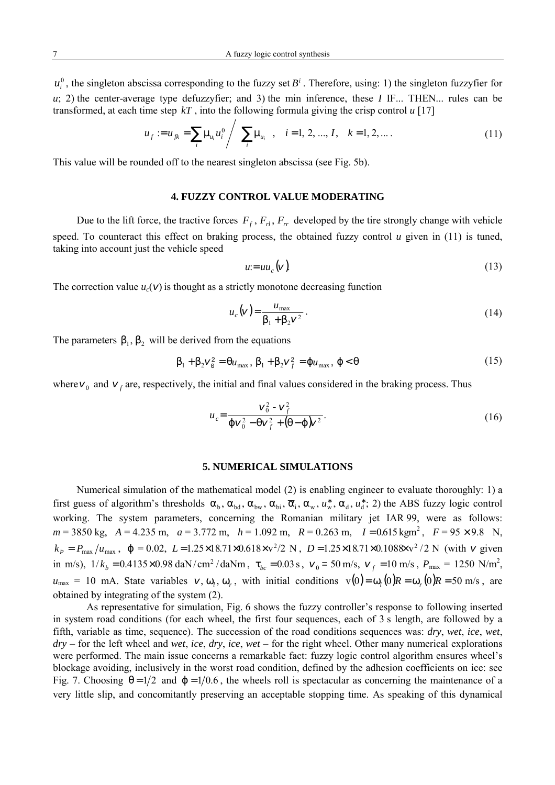$u_i^0$ , the singleton abscissa corresponding to the fuzzy set  $B^i$ . Therefore, using: 1) the singleton fuzzyfier for *u*; 2) the center-average type defuzzyfier; and 3) the min inference, these *I* IF... THEN... rules can be transformed, at each time step *kT* , into the following formula giving the crisp control *u* [17]

$$
u_f := u_{jk} = \sum_i \mu_{u_i} u_i^0 / \left( \sum_i \mu_{u_i} \right), \quad i = 1, 2, ..., I, \quad k = 1, 2, ....
$$
 (11)

This value will be rounded off to the nearest singleton abscissa (see Fig. 5b).

## **4. FUZZY CONTROL VALUE MODERATING**

Due to the lift force, the tractive forces  $F_f$ ,  $F_r$ ,  $F_r$ , developed by the tire strongly change with vehicle speed. To counteract this effect on braking process, the obtained fuzzy control *u* given in (11) is tuned, taking into account just the vehicle speed

$$
u = uu_c \left( v \right). \tag{13}
$$

The correction value  $u_c(v)$  is thought as a strictly monotone decreasing function

$$
u_c(v) = \frac{u_{\text{max}}}{\beta_1 + \beta_2 v^2} \,. \tag{14}
$$

The parameters  $\beta_1$ ,  $\beta_2$  will be derived from the equations

$$
\beta_1 + \beta_2 v_0^2 = \theta u_{\text{max}}, \beta_1 + \beta_2 v_f^2 = \varphi u_{\text{max}}, \varphi < \theta \tag{15}
$$

where  $v_0$  and  $v_f$  are, respectively, the initial and final values considered in the braking process. Thus

$$
u_c = \frac{v_0^2 - v_f^2}{\varphi v_0^2 - \varphi v_f^2 + (\theta - \varphi)v^2}.
$$
 (16)

## **5. NUMERICAL SIMULATIONS**

Numerical simulation of the mathematical model (2) is enabling engineer to evaluate thoroughly: 1) a first guess of algorithm's thresholds  $\alpha_b$ ,  $\alpha_{bd}$ ,  $\alpha_{bw}$ ,  $\alpha_{bi}$ ,  $\overline{\alpha}_i$ ,  $\alpha_w$ ,  $u_w^*$ ,  $\alpha_d$ ,  $u_d^*$ ; 2) the ABS fuzzy logic control working. The system parameters, concerning the Romanian military jet IAR 99, were as follows:  $m = 3850 \text{ kg}$ ,  $A = 4.235 \text{ m}$ ,  $a = 3.772 \text{ m}$ ,  $h = 1.092 \text{ m}$ ,  $R = 0.263 \text{ m}$ ,  $I = 0.615 \text{ kg} \text{m}^2$ ,  $F = 95 \times 9.8 \text{ N}$ ,  $k_P = P_{\text{max}}/u_{\text{max}}$ ,  $\varphi = 0.02$ ,  $L = 1.25 \times 18.71 \times 0.618 \times \frac{v^2}{2}$  *N*,  $D = 1.25 \times 18.71 \times 0.1088 \times \frac{v^2}{2}$  *N* (with v given in m/s),  $1/k_b = 0.4135 \times 0.98$  daN/ cm<sup>2</sup>/daNm,  $\tau_{bc} = 0.03$  s,  $v_0 = 50$  m/s,  $v_f = 10$  m/s,  $P_{\text{max}} = 1250$  N/m<sup>2</sup>,  $u_{\text{max}} = 10 \text{ mA}$ . State variables  $v, \omega_l, \omega_r$ , with initial conditions  $v(0) = \omega_l(0)R = \omega_r(0)R = 50 \text{ m/s}$ , are obtained by integrating of the system (2).

As representative for simulation, Fig. 6 shows the fuzzy controller's response to following inserted in system road conditions (for each wheel, the first four sequences, each of 3 s length, are followed by a fifth, variable as time, sequence). The succession of the road conditions sequences was: *dry*, *wet*, *ice*, *wet*, *dry* – for the left wheel and *wet*, *ice*, *dry*, *ice*, *wet* – for the right wheel. Other many numerical explorations were performed. The main issue concerns a remarkable fact: fuzzy logic control algorithm ensures wheel's blockage avoiding, inclusively in the worst road condition, defined by the adhesion coefficients on ice: see Fig. 7. Choosing  $\theta = 1/2$  and  $\phi = 1/0.6$ , the wheels roll is spectacular as concerning the maintenance of a very little slip, and concomitantly preserving an acceptable stopping time. As speaking of this dynamical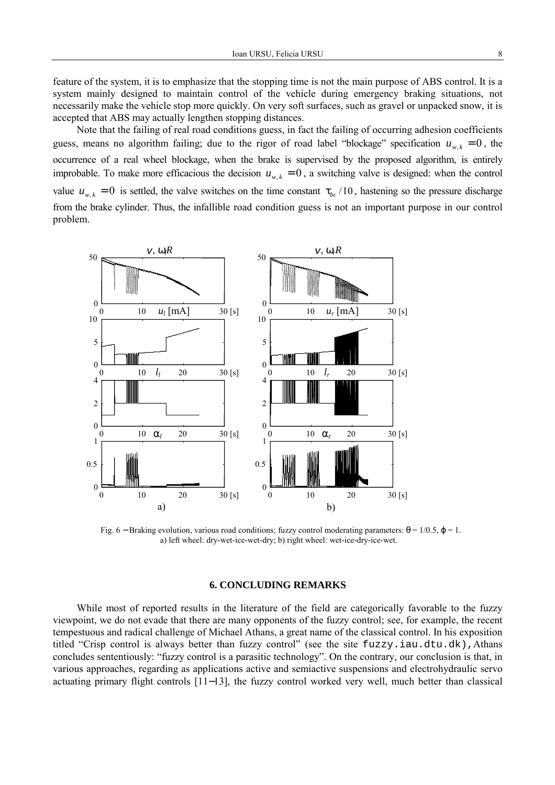feature of the system, it is to emphasize that the stopping time is not the main purpose of ABS control. It is a system mainly designed to maintain control of the vehicle during emergency braking situations, not necessarily make the vehicle stop more quickly. On very soft surfaces, such as gravel or unpacked snow, it is accepted that ABS may actually lengthen stopping distances.

Note that the failing of real road conditions guess, in fact the failing of occurring adhesion coefficients guess, means no algorithm failing; due to the rigor of road label "blockage" specification  $u_{w,k} = 0$ , the occurrence of a real wheel blockage, when the brake is supervised by the proposed algorithm, is entirely improbable. To make more efficacious the decision  $u_{w,k} = 0$ , a switching valve is designed: when the control value  $u_{w,k} = 0$  is settled, the valve switches on the time constant  $\tau_{bc}$  /10, hastening so the pressure discharge from the brake cylinder. Thus, the infallible road condition guess is not an important purpose in our control problem.



Fig. 6 – Braking evolution, various road conditions; fuzzy control moderating parameters:  $\theta = 1/0.5$ ,  $\varphi = 1$ . a) left wheel: dry-wet-ice-wet-dry; b) right wheel: wet-ice-dry-ice-wet.

## **6. CONCLUDING REMARKS**

While most of reported results in the literature of the field are categorically favorable to the fuzzy viewpoint, we do not evade that there are many opponents of the fuzzy control; see, for example, the recent tempestuous and radical challenge of Michael Athans, a great name of the classical control. In his exposition titled "Crisp control is always better than fuzzy control" (see the site fuzzy.iau.dtu.dk),Athans concludes sententiously: "fuzzy control is a parasitic technology". On the contrary, our conclusion is that, in various approaches, regarding as applications active and semiactive suspensions and electrohydraulic servo actuating primary flight controls [11−13], the fuzzy control worked very well, much better than classical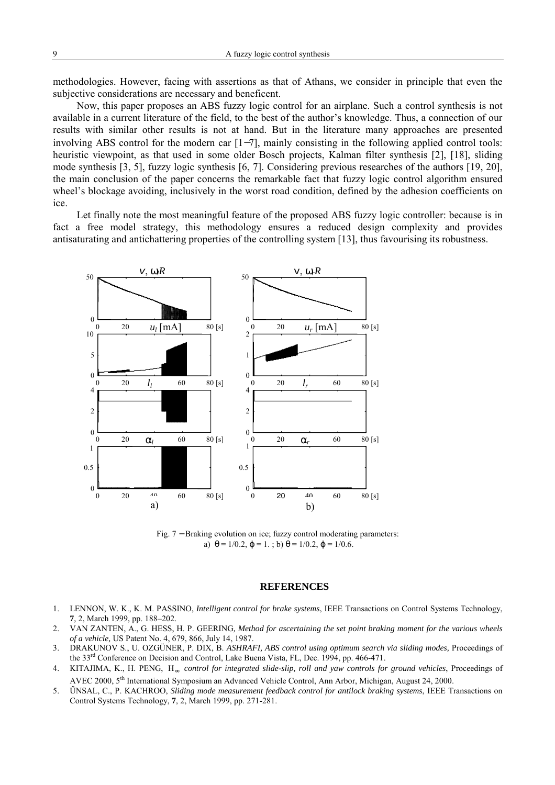methodologies. However, facing with assertions as that of Athans, we consider in principle that even the subjective considerations are necessary and beneficent.

Now, this paper proposes an ABS fuzzy logic control for an airplane. Such a control synthesis is not available in a current literature of the field, to the best of the author's knowledge. Thus, a connection of our results with similar other results is not at hand. But in the literature many approaches are presented involving ABS control for the modern car [1−7], mainly consisting in the following applied control tools: heuristic viewpoint, as that used in some older Bosch projects, Kalman filter synthesis [2], [18], sliding mode synthesis [3, 5], fuzzy logic synthesis [6, 7]. Considering previous researches of the authors [19, 20], the main conclusion of the paper concerns the remarkable fact that fuzzy logic control algorithm ensured wheel's blockage avoiding, inclusively in the worst road condition, defined by the adhesion coefficients on ice.

Let finally note the most meaningful feature of the proposed ABS fuzzy logic controller: because is in fact a free model strategy, this methodology ensures a reduced design complexity and provides antisaturating and antichattering properties of the controlling system [13], thus favourising its robustness.



Fig. 7 − Braking evolution on ice; fuzzy control moderating parameters: a)  $\theta = 1/0.2$ ,  $\varphi = 1$ .; b)  $\theta = 1/0.2$ ,  $\varphi = 1/0.6$ .

#### **REFERENCES**

- 1. LENNON, W. K., K. M. PASSINO, *Intelligent control for brake systems*, IEEE Transactions on Control Systems Technology, **7**, 2, March 1999, pp. 188–202.
- 2. VAN ZANTEN, A., G. HESS, H. P. GEERING*, Method for ascertaining the set point braking moment for the various wheels of a vehicle,* US Patent No. 4, 679, 866, July 14, 1987.
- 3. DRAKUNOV S., U. OZGÜNER, P. DIX, B. *ASHRAFI, ABS control using optimum search via sliding modes,* Proceedings of the 33<sup>rd</sup> Conference on Decision and Control, Lake Buena Vista, FL, Dec. 1994, pp. 466-471.
- 4. KITAJIMA, K., H. PENG, H∞ *control for integrated slide-slip, roll and yaw controls for ground vehicles*, Proceedings of AVEC 2000, 5th International Symposium an Advanced Vehicle Control, Ann Arbor, Michigan, August 24, 2000.
- 5. ŰNSAL, C., P. KACHROO, *Sliding mode measurement feedback control for antilock braking systems*, IEEE Transactions on Control Systems Technology, **7**, 2, March 1999, pp. 271-281.